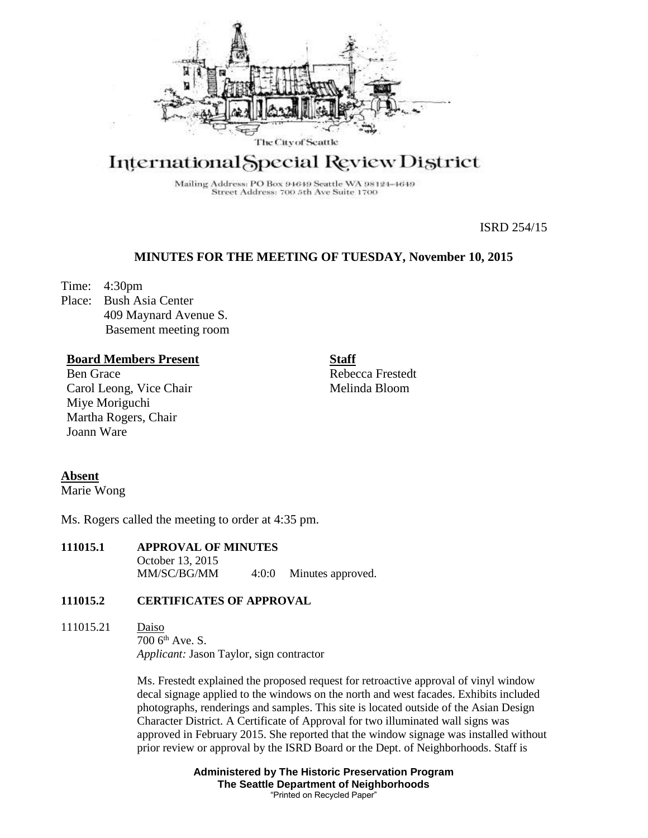

# International Special Review District

Mailing Address: PO Box 94649 Seattle WA 98124-4649 Street Address: 700 5th Ave Suite 1700

ISRD 254/15

## **MINUTES FOR THE MEETING OF TUESDAY, November 10, 2015**

Time: 4:30pm

Place: Bush Asia Center 409 Maynard Avenue S. Basement meeting room

## **Board Members Present**

Ben Grace Carol Leong, Vice Chair Miye Moriguchi Martha Rogers, Chair Joann Ware

Rebecca Frestedt Melinda Bloom

**Staff**

## **Absent**

Marie Wong

Ms. Rogers called the meeting to order at 4:35 pm.

**111015.1 APPROVAL OF MINUTES** October 13, 2015 MM/SC/BG/MM 4:0:0 Minutes approved.

## **111015.2 CERTIFICATES OF APPROVAL**

111015.21 Daiso 700 6th Ave. S. *Applicant:* Jason Taylor, sign contractor

> Ms. Frestedt explained the proposed request for retroactive approval of vinyl window decal signage applied to the windows on the north and west facades. Exhibits included photographs, renderings and samples. This site is located outside of the Asian Design Character District. A Certificate of Approval for two illuminated wall signs was approved in February 2015. She reported that the window signage was installed without prior review or approval by the ISRD Board or the Dept. of Neighborhoods. Staff is

> > **Administered by The Historic Preservation Program The Seattle Department of Neighborhoods** "Printed on Recycled Paper"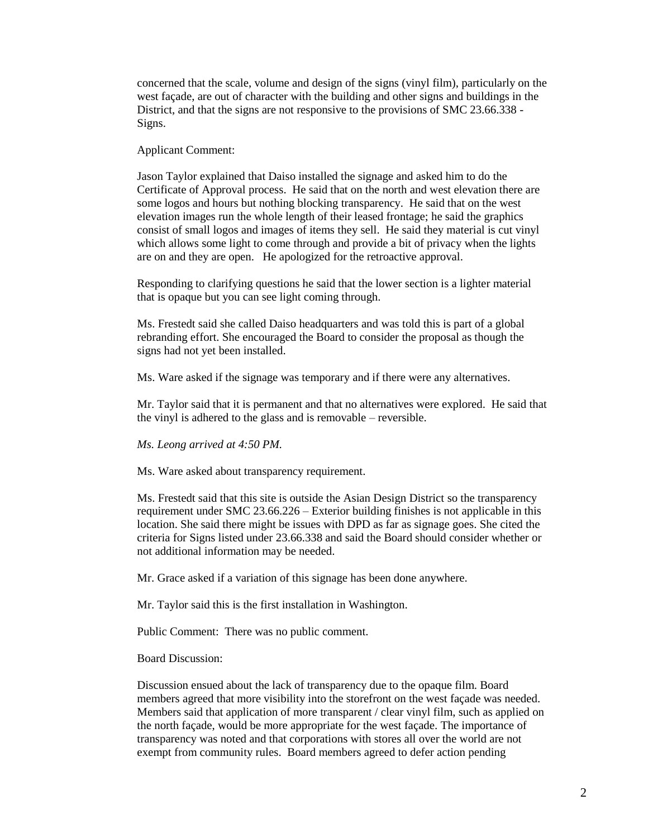concerned that the scale, volume and design of the signs (vinyl film), particularly on the west façade, are out of character with the building and other signs and buildings in the District, and that the signs are not responsive to the provisions of SMC 23.66.338 - Signs.

Applicant Comment:

Jason Taylor explained that Daiso installed the signage and asked him to do the Certificate of Approval process. He said that on the north and west elevation there are some logos and hours but nothing blocking transparency. He said that on the west elevation images run the whole length of their leased frontage; he said the graphics consist of small logos and images of items they sell. He said they material is cut vinyl which allows some light to come through and provide a bit of privacy when the lights are on and they are open. He apologized for the retroactive approval.

Responding to clarifying questions he said that the lower section is a lighter material that is opaque but you can see light coming through.

Ms. Frestedt said she called Daiso headquarters and was told this is part of a global rebranding effort. She encouraged the Board to consider the proposal as though the signs had not yet been installed.

Ms. Ware asked if the signage was temporary and if there were any alternatives.

Mr. Taylor said that it is permanent and that no alternatives were explored. He said that the vinyl is adhered to the glass and is removable – reversible.

*Ms. Leong arrived at 4:50 PM.*

Ms. Ware asked about transparency requirement.

Ms. Frestedt said that this site is outside the Asian Design District so the transparency requirement under SMC 23.66.226 – Exterior building finishes is not applicable in this location. She said there might be issues with DPD as far as signage goes. She cited the criteria for Signs listed under 23.66.338 and said the Board should consider whether or not additional information may be needed.

Mr. Grace asked if a variation of this signage has been done anywhere.

Mr. Taylor said this is the first installation in Washington.

Public Comment: There was no public comment.

Board Discussion:

Discussion ensued about the lack of transparency due to the opaque film. Board members agreed that more visibility into the storefront on the west façade was needed. Members said that application of more transparent / clear vinyl film, such as applied on the north façade, would be more appropriate for the west façade. The importance of transparency was noted and that corporations with stores all over the world are not exempt from community rules. Board members agreed to defer action pending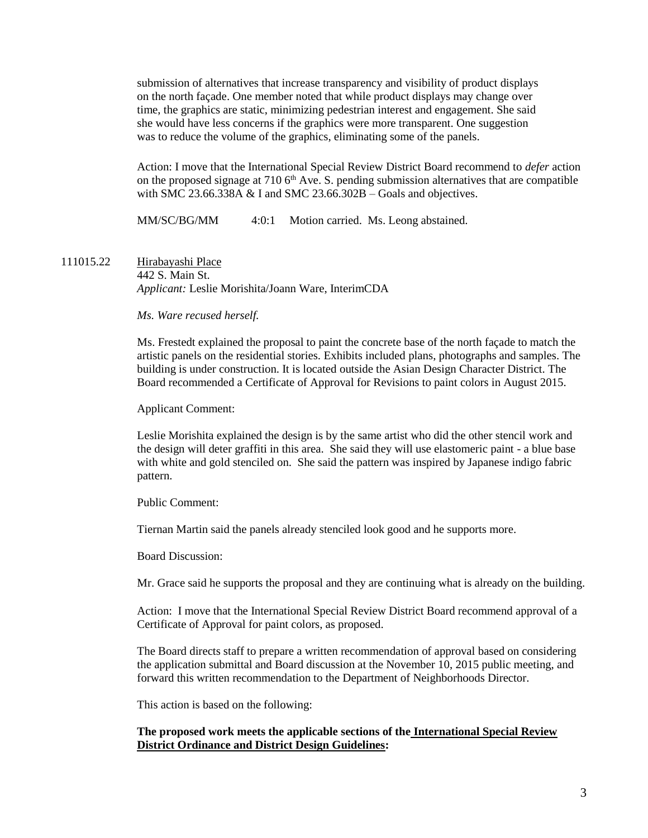submission of alternatives that increase transparency and visibility of product displays on the north façade. One member noted that while product displays may change over time, the graphics are static, minimizing pedestrian interest and engagement. She said she would have less concerns if the graphics were more transparent. One suggestion was to reduce the volume of the graphics, eliminating some of the panels.

Action: I move that the International Special Review District Board recommend to *defer* action on the proposed signage at  $7106<sup>th</sup>$  Ave. S. pending submission alternatives that are compatible with SMC 23.66.338A  $&$  I and SMC 23.66.302B – Goals and objectives.

MM/SC/BG/MM 4:0:1 Motion carried. Ms. Leong abstained.

111015.22 Hirabayashi Place 442 S. Main St. *Applicant:* Leslie Morishita/Joann Ware, InterimCDA

#### *Ms. Ware recused herself.*

Ms. Frestedt explained the proposal to paint the concrete base of the north façade to match the artistic panels on the residential stories. Exhibits included plans, photographs and samples. The building is under construction. It is located outside the Asian Design Character District. The Board recommended a Certificate of Approval for Revisions to paint colors in August 2015.

Applicant Comment:

Leslie Morishita explained the design is by the same artist who did the other stencil work and the design will deter graffiti in this area. She said they will use elastomeric paint - a blue base with white and gold stenciled on. She said the pattern was inspired by Japanese indigo fabric pattern.

Public Comment:

Tiernan Martin said the panels already stenciled look good and he supports more.

Board Discussion:

Mr. Grace said he supports the proposal and they are continuing what is already on the building.

Action: I move that the International Special Review District Board recommend approval of a Certificate of Approval for paint colors, as proposed.

The Board directs staff to prepare a written recommendation of approval based on considering the application submittal and Board discussion at the November 10, 2015 public meeting, and forward this written recommendation to the Department of Neighborhoods Director.

This action is based on the following:

## **The proposed work meets the applicable sections of the International Special Review District Ordinance and District Design Guidelines:**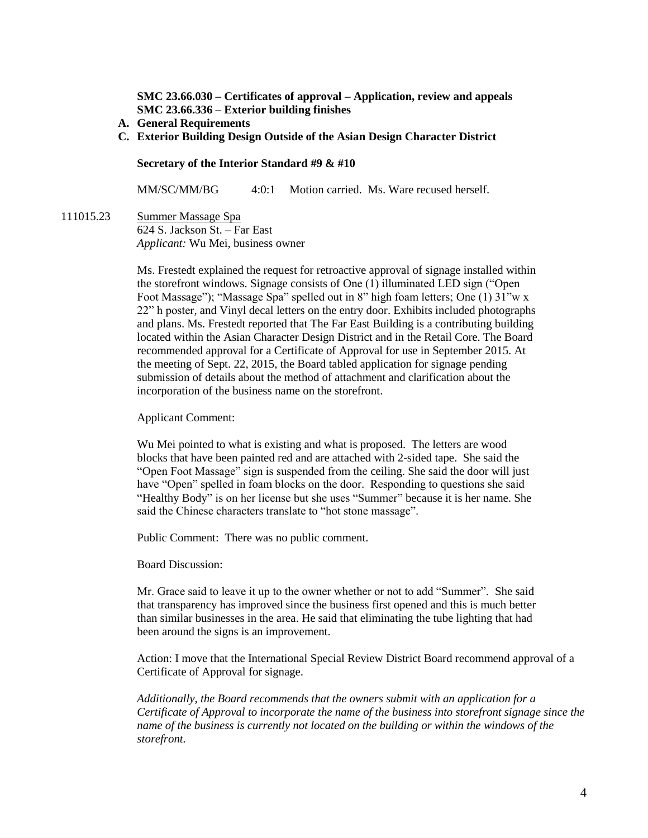**SMC 23.66.030 – Certificates of approval – Application, review and appeals SMC 23.66.336 – Exterior building finishes**

- **A. General Requirements**
- **C. Exterior Building Design Outside of the Asian Design Character District**

**Secretary of the Interior Standard #9 & #10**

MM/SC/MM/BG 4:0:1 Motion carried. Ms. Ware recused herself.

111015.23 Summer Massage Spa 624 S. Jackson St. – Far East *Applicant:* Wu Mei, business owner

> Ms. Frestedt explained the request for retroactive approval of signage installed within the storefront windows. Signage consists of One (1) illuminated LED sign ("Open Foot Massage"); "Massage Spa" spelled out in 8" high foam letters; One (1) 31"w x 22" h poster, and Vinyl decal letters on the entry door. Exhibits included photographs and plans. Ms. Frestedt reported that The Far East Building is a contributing building located within the Asian Character Design District and in the Retail Core. The Board recommended approval for a Certificate of Approval for use in September 2015. At the meeting of Sept. 22, 2015, the Board tabled application for signage pending submission of details about the method of attachment and clarification about the incorporation of the business name on the storefront.

Applicant Comment:

Wu Mei pointed to what is existing and what is proposed. The letters are wood blocks that have been painted red and are attached with 2-sided tape. She said the "Open Foot Massage" sign is suspended from the ceiling. She said the door will just have "Open" spelled in foam blocks on the door. Responding to questions she said "Healthy Body" is on her license but she uses "Summer" because it is her name. She said the Chinese characters translate to "hot stone massage".

Public Comment: There was no public comment.

Board Discussion:

Mr. Grace said to leave it up to the owner whether or not to add "Summer". She said that transparency has improved since the business first opened and this is much better than similar businesses in the area. He said that eliminating the tube lighting that had been around the signs is an improvement.

Action: I move that the International Special Review District Board recommend approval of a Certificate of Approval for signage.

*Additionally, the Board recommends that the owners submit with an application for a Certificate of Approval to incorporate the name of the business into storefront signage since the name of the business is currently not located on the building or within the windows of the storefront.*